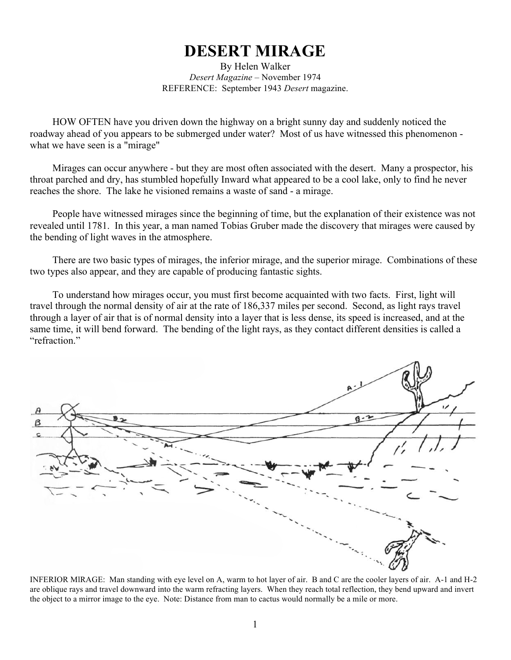## **DESERT MIRAGE**

By Helen Walker *Desert Magazine* – November 1974 REFERENCE: September 1943 *Desert* magazine.

HOW OFTEN have you driven down the highway on a bright sunny day and suddenly noticed the roadway ahead of you appears to be submerged under water? Most of us have witnessed this phenomenon what we have seen is a "mirage"

Mirages can occur anywhere - but they are most often associated with the desert. Many a prospector, his throat parched and dry, has stumbled hopefully Inward what appeared to be a cool lake, only to find he never reaches the shore. The lake he visioned remains a waste of sand - a mirage.

People have witnessed mirages since the beginning of time, but the explanation of their existence was not revealed until 1781. In this year, a man named Tobias Gruber made the discovery that mirages were caused by the bending of light waves in the atmosphere.

There are two basic types of mirages, the inferior mirage, and the superior mirage. Combinations of these two types also appear, and they are capable of producing fantastic sights.

To understand how mirages occur, you must first become acquainted with two facts. First, light will travel through the normal density of air at the rate of 186,337 miles per second. Second, as light rays travel through a layer of air that is of normal density into a layer that is less dense, its speed is increased, and at the same time, it will bend forward. The bending of the light rays, as they contact different densities is called a "refraction."



INFERIOR MlRAGE: Man standing with eye level on A, warm to hot layer of air. B and C are the cooler layers of air. A-1 and H-2 are oblique rays and travel downward into the warm refracting layers. When they reach total reflection, they bend upward and invert the object to a mirror image to the eye. Note: Distance from man to cactus would normally be a mile or more.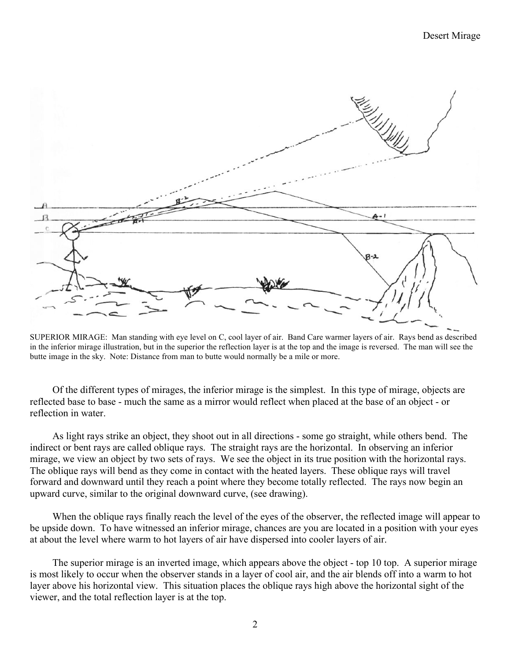

SUPERIOR MIRAGE: Man standing with eye level on C, cool layer of air. Band Care warmer layers of air. Rays bend as described in the inferior mirage illustration, but in the superior the reflection layer is at the top and the image is reversed. The man will see the butte image in the sky. Note: Distance from man to butte would normally be a mile or more.

Of the different types of mirages, the inferior mirage is the simplest. In this type of mirage, objects are reflected base to base - much the same as a mirror would reflect when placed at the base of an object - or reflection in water.

As light rays strike an object, they shoot out in all directions - some go straight, while others bend. The indirect or bent rays are called oblique rays. The straight rays are the horizontal. In observing an inferior mirage, we view an object by two sets of rays. We see the object in its true position with the horizontal rays. The oblique rays will bend as they come in contact with the heated layers. These oblique rays will travel forward and downward until they reach a point where they become totally reflected. The rays now begin an upward curve, similar to the original downward curve, (see drawing).

When the oblique rays finally reach the level of the eyes of the observer, the reflected image will appear to be upside down. To have witnessed an inferior mirage, chances are you are located in a position with your eyes at about the level where warm to hot layers of air have dispersed into cooler layers of air.

The superior mirage is an inverted image, which appears above the object - top 10 top. A superior mirage is most likely to occur when the observer stands in a layer of cool air, and the air blends off into a warm to hot layer above his horizontal view. This situation places the oblique rays high above the horizontal sight of the viewer, and the total reflection layer is at the top.